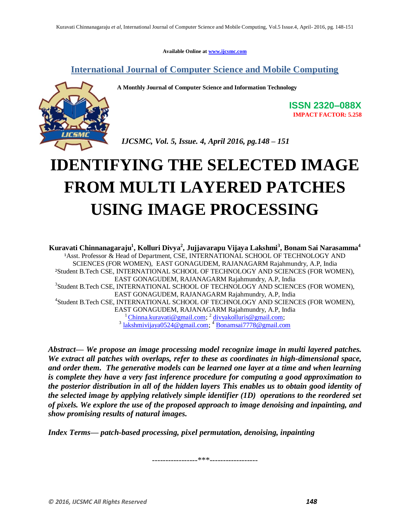**Available Online at www.ijcsmc.com**

### **International Journal of Computer Science and Mobile Computing**

**A Monthly Journal of Computer Science and Information Technology**



**ISSN 2320–088X IMPACT FACTOR: 5.258**

 *IJCSMC, Vol. 5, Issue. 4, April 2016, pg.148 – 151*

# **IDENTIFYING THE SELECTED IMAGE FROM MULTI LAYERED PATCHES USING IMAGE PROCESSING**

**Kuravati Chinnanagaraju<sup>1</sup> , Kolluri Divya<sup>2</sup> , Jujjavarapu Vijaya Lakshmi<sup>3</sup> , Bonam Sai Narasamma<sup>4</sup>** <sup>1</sup>Asst. Professor & Head of Department, CSE, INTERNATIONAL SCHOOL OF TECHNOLOGY AND SCIENCES (FOR WOMEN), EAST GONAGUDEM, RAJANAGARM Rajahmundry, A.P, India ²Student B.Tech CSE, INTERNATIONAL SCHOOL OF TECHNOLOGY AND SCIENCES (FOR WOMEN), EAST GONAGUDEM, RAJANAGARM Rajahmundry, A.P, India 3 Student B.Tech CSE, INTERNATIONAL SCHOOL OF TECHNOLOGY AND SCIENCES (FOR WOMEN), EAST GONAGUDEM, RAJANAGARM Rajahmundry, A.P, India 4 Student B.Tech CSE, INTERNATIONAL SCHOOL OF TECHNOLOGY AND SCIENCES (FOR WOMEN), EAST GONAGUDEM, RAJANAGARM Rajahmundry, A.P, India <sup>1</sup>Chinna.kuravati@gmail.com; <sup>2</sup> divyakolluris@gmail.com;<br><sup>3</sup> lakshmivijaya0524@gmail.com; <sup>4</sup> Bonamsai7778@gmail.com

*Abstract— We propose an image processing model recognize image in multi layered patches. We extract all patches with overlaps, refer to these as coordinates in high-dimensional space, and order them. The generative models can be learned one layer at a time and when learning is complete they have a very fast inference procedure for computing a good approximation to the posterior distribution in all of the hidden layers This enables us to obtain good identity of the selected image by applying relatively simple identifier (1D) operations to the reordered set of pixels. We explore the use of the proposed approach to image denoising and inpainting, and show promising results of natural images.*

*Index Terms— patch-based processing, pixel permutation, denoising, inpainting*

-----------------\*\*\*------------------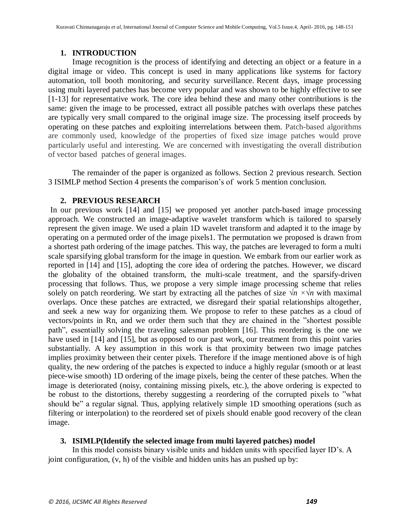### **1. INTRODUCTION**

Image recognition is the process of identifying and detecting an object or a feature in a digital image or video. This concept is used in many applications like systems for factory automation, toll booth monitoring, and security surveillance. Recent days, image processing using multi layered patches has become very popular and was shown to be highly effective to see [1-13] for representative work. The core idea behind these and many other contributions is the same: given the image to be processed, extract all possible patches with overlaps these patches are typically very small compared to the original image size. The processing itself proceeds by operating on these patches and exploiting interrelations between them. Patch-based algorithms are commonly used, knowledge of the properties of fixed size image patches would prove particularly useful and interesting. We are concerned with investigating the overall distribution of vector based patches of general images.

The remainder of the paper is organized as follows. Section 2 previous research. Section 3 ISIMLP method Section 4 presents the comparison's of work 5 mention conclusion.

### **2. PREVIOUS RESEARCH**

In our previous work [14] and [15] we proposed yet another patch-based image processing approach. We constructed an image-adaptive wavelet transform which is tailored to sparsely represent the given image. We used a plain 1D wavelet transform and adapted it to the image by operating on a permuted order of the image pixels1. The permutation we proposed is drawn from a shortest path ordering of the image patches. This way, the patches are leveraged to form a multi scale sparsifying global transform for the image in question. We embark from our earlier work as reported in [14] and [15], adopting the core idea of ordering the patches. However, we discard the globality of the obtained transform, the multi-scale treatment, and the sparsify-driven processing that follows. Thus, we propose a very simple image processing scheme that relies solely on patch reordering. We start by extracting all the patches of size  $\sqrt{n} \times \sqrt{n}$  with maximal overlaps. Once these patches are extracted, we disregard their spatial relationships altogether, and seek a new way for organizing them. We propose to refer to these patches as a cloud of vectors/points in Rn, and we order them such that they are chained in the "shortest possible" path", essentially solving the traveling salesman problem [16]. This reordering is the one we have used in [14] and [15], but as opposed to our past work, our treatment from this point varies substantially. A key assumption in this work is that proximity between two image patches implies proximity between their center pixels. Therefore if the image mentioned above is of high quality, the new ordering of the patches is expected to induce a highly regular (smooth or at least piece-wise smooth) 1D ordering of the image pixels, being the center of these patches. When the image is deteriorated (noisy, containing missing pixels, etc.), the above ordering is expected to be robust to the distortions, thereby suggesting a reordering of the corrupted pixels to "what should be" a regular signal. Thus, applying relatively simple 1D smoothing operations (such as filtering or interpolation) to the reordered set of pixels should enable good recovery of the clean image.

### **3. ISIMLP(Identify the selected image from multi layered patches) model**

In this model consists binary visible units and hidden units with specified layer ID's. A joint configuration, (v, h) of the visible and hidden units has an pushed up by: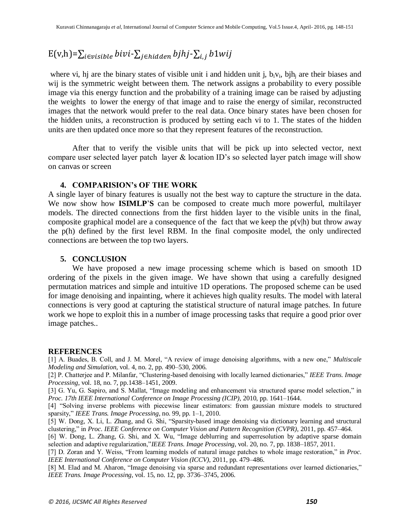## $E(v,h)=\sum_{i\in visible}bivi-\sum_{i\in hidden}bjhj-\sum_{i,j}b1wij$

where vi, hj are the binary states of visible unit i and hidden unit j,  $b_i v_i$ , bih<sub>i</sub> are their biases and wij is the symmetric weight between them. The network assigns a probability to every possible image via this energy function and the probability of a training image can be raised by adjusting the weights to lower the energy of that image and to raise the energy of similar, reconstructed images that the network would prefer to the real data. Once binary states have been chosen for the hidden units, a reconstruction is produced by setting each vi to 1. The states of the hidden units are then updated once more so that they represent features of the reconstruction.

After that to verify the visible units that will be pick up into selected vector, next compare user selected layer patch layer & location ID's so selected layer patch image will show on canvas or screen

### **4. COMPARISION's OF THE WORK**

A single layer of binary features is usually not the best way to capture the structure in the data. We now show how **ISIMLP**'**S** can be composed to create much more powerful, multilayer models. The directed connections from the first hidden layer to the visible units in the final, composite graphical model are a consequence of the fact that we keep the  $p(v|h)$  but throw away the p(h) defined by the first level RBM. In the final composite model, the only undirected connections are between the top two layers.

### **5. CONCLUSION**

We have proposed a new image processing scheme which is based on smooth 1D ordering of the pixels in the given image. We have shown that using a carefully designed permutation matrices and simple and intuitive 1D operations. The proposed scheme can be used for image denoising and inpainting, where it achieves high quality results. The model with lateral connections is very good at capturing the statistical structure of natural image patches. In future work we hope to exploit this in a number of image processing tasks that require a good prior over image patches..

#### **REFERENCES**

[1] A. Buades, B. Coll, and J. M. Morel, "A review of image denoising algorithms, with a new one," *Multiscale Modeling and Simulation*, vol. 4, no. 2, pp. 490–530, 2006.

[2] P. Chatterjee and P. Milanfar, "Clustering-based denoising with locally learned dictionaries," IEEE Trans. Image *Processing*, vol. 18, no. 7, pp.1438–1451, 2009.

[3] G. Yu, G. Sapiro, and S. Mallat, "Image modeling and enhancement via structured sparse model selection," in *Proc. 17th IEEE International Conference on Image Processing (ICIP)*, 2010, pp. 1641–1644.

[4] "Solving inverse problems with piecewise linear estimators: from gaussian mixture models to structured sparsity," *IEEE Trans. Image Processing*, no. 99, pp. 1–1, 2010.

[5] W. Dong, X. Li, L. Zhang, and G. Shi, "Sparsity-based image denoising via dictionary learning and structural clustering,‖ in *Proc. IEEE Conference on Computer Vision and Pattern Recognition (CVPR)*, 2011, pp. 457–464.

[6] W. Dong, L. Zhang, G. Shi, and X. Wu, "Image deblurring and superresolution by adaptive sparse domain selection and adaptive regularization,"*IEEE Trans. Image Processing*, vol. 20, no. 7, pp. 1838–1857, 2011.

[7] D. Zoran and Y. Weiss, "From learning models of natural image patches to whole image restoration," in *Proc*. *IEEE International Conference on Computer Vision (ICCV)*, 2011, pp. 479–486.

[8] M. Elad and M. Aharon, "Image denoising via sparse and redundant representations over learned dictionaries," *IEEE Trans. Image Processing*, vol. 15, no. 12, pp. 3736–3745, 2006.